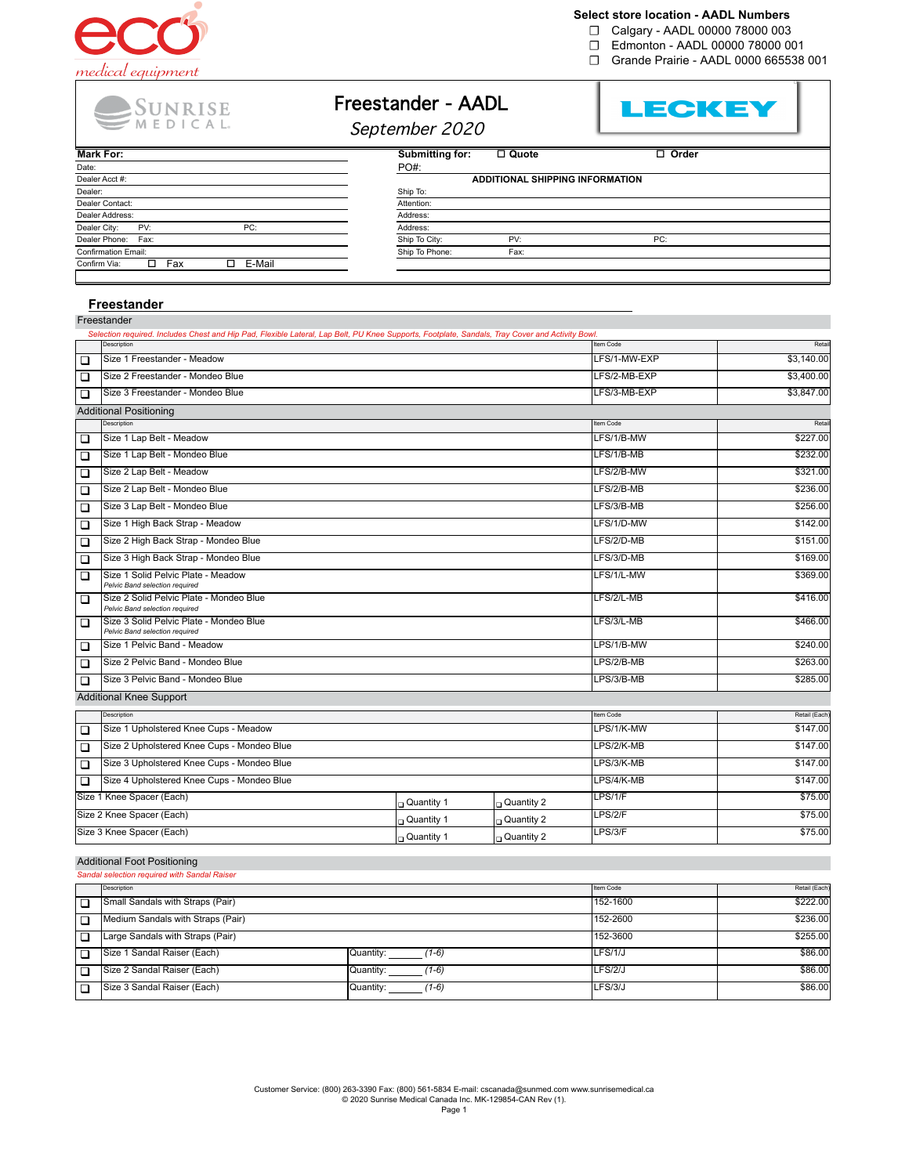

### **Select store location - AADL Numbers**

☐ Calgary - AADL 00000 78000 003

- ☐ Edmonton AADL 00000 78000 001
- ☐ Grande Prairie AADL 0000 665538 001

SUNRISE<br>
MEDICAL

# Freestander - AADL



September 2020

| Mark For:                     | Submitting for:<br>$\Box$ Quote | $\Box$ Order                           |  |  |
|-------------------------------|---------------------------------|----------------------------------------|--|--|
| Date:                         | PO#:                            |                                        |  |  |
| Dealer Acct #:                |                                 | <b>ADDITIONAL SHIPPING INFORMATION</b> |  |  |
| Dealer:                       | Ship To:                        |                                        |  |  |
| Dealer Contact:               | Attention:                      |                                        |  |  |
| Dealer Address:               | Address:                        |                                        |  |  |
| Dealer City:<br>PV:<br>PC:    | Address:                        |                                        |  |  |
| Dealer Phone: Fax:            | Ship To City:<br>PV:            | PC:                                    |  |  |
| <b>Confirmation Email:</b>    | Ship To Phone:<br>Fax:          |                                        |  |  |
| E-Mail<br>Fax<br>Confirm Via: |                                 |                                        |  |  |

#### **Freestander**

|                           | Freestander                                                                                                                                     |              |              |              |               |
|---------------------------|-------------------------------------------------------------------------------------------------------------------------------------------------|--------------|--------------|--------------|---------------|
|                           | Selection required. Includes Chest and Hip Pad, Flexible Lateral, Lap Belt, PU Knee Supports, Footplate, Sandals, Tray Cover and Activity Bowl. |              |              |              |               |
|                           | Description                                                                                                                                     |              |              | Item Code    | Retai         |
| □                         | Size 1 Freestander - Meadow                                                                                                                     |              | LFS/1-MW-EXP | \$3,140.00   |               |
| $\Box$                    | Size 2 Freestander - Mondeo Blue                                                                                                                |              |              | LFS/2-MB-EXP | \$3,400.00    |
| $\Box$                    | Size 3 Freestander - Mondeo Blue                                                                                                                |              |              | LFS/3-MB-EXP | \$3,847.00    |
|                           | <b>Additional Positioning</b>                                                                                                                   |              |              |              |               |
|                           | Description                                                                                                                                     |              |              | Item Code    | Retail        |
| $\Box$                    | Size 1 Lap Belt - Meadow                                                                                                                        |              |              | LFS/1/B-MW   | \$227.00      |
| $\Box$                    | Size 1 Lap Belt - Mondeo Blue                                                                                                                   |              |              | LFS/1/B-MB   | \$232.00      |
| $\Box$                    | Size 2 Lap Belt - Meadow                                                                                                                        |              |              | LFS/2/B-MW   | \$321.00      |
| $\Box$                    | Size 2 Lap Belt - Mondeo Blue                                                                                                                   |              |              | LFS/2/B-MB   | \$236.00      |
| $\Box$                    | Size 3 Lap Belt - Mondeo Blue                                                                                                                   |              |              | LFS/3/B-MB   | \$256.00      |
| $\Box$                    | Size 1 High Back Strap - Meadow                                                                                                                 |              |              | LFS/1/D-MW   | \$142.00      |
| $\Box$                    | Size 2 High Back Strap - Mondeo Blue                                                                                                            |              |              | LFS/2/D-MB   | \$151.00      |
| $\Box$                    | Size 3 High Back Strap - Mondeo Blue                                                                                                            |              |              | LFS/3/D-MB   | \$169.00      |
| $\Box$                    | Size 1 Solid Pelvic Plate - Meadow<br>Pelvic Band selection required                                                                            |              |              | LFS/1/L-MW   | \$369.00      |
| □                         | Size 2 Solid Pelvic Plate - Mondeo Blue<br>Pelvic Band selection required                                                                       |              |              | LFS/2/L-MB   | \$416.00      |
| $\Box$                    | Size 3 Solid Pelvic Plate - Mondeo Blue<br>Pelvic Band selection required                                                                       |              |              | LFS/3/L-MB   | \$466.00      |
| $\Box$                    | Size 1 Pelvic Band - Meadow                                                                                                                     |              |              | LPS/1/B-MW   | \$240.00      |
| $\Box$                    | Size 2 Pelvic Band - Mondeo Blue                                                                                                                |              |              | LPS/2/B-MB   | \$263.00      |
| $\Box$                    | Size 3 Pelvic Band - Mondeo Blue                                                                                                                |              |              | LPS/3/B-MB   | \$285.00      |
|                           | <b>Additional Knee Support</b>                                                                                                                  |              |              |              |               |
|                           | Description                                                                                                                                     |              |              | Item Code    | Retail (Each) |
| $\Box$                    | Size 1 Upholstered Knee Cups - Meadow                                                                                                           |              |              | LPS/1/K-MW   | \$147.00      |
| $\Box$                    | Size 2 Upholstered Knee Cups - Mondeo Blue                                                                                                      |              |              | LPS/2/K-MB   | \$147.00      |
| $\Box$                    | Size 3 Upholstered Knee Cups - Mondeo Blue                                                                                                      |              |              | LPS/3/K-MB   | \$147.00      |
| $\Box$                    | Size 4 Upholstered Knee Cups - Mondeo Blue                                                                                                      |              | LPS/4/K-MB   | \$147.00     |               |
|                           | Size 1 Knee Spacer (Each)                                                                                                                       | □ Quantity 1 | Quantity 2   | LPS/1/F      | \$75.00       |
|                           | Size 2 Knee Spacer (Each)                                                                                                                       | Quantity 1   | Quantity 2   | LPS/2/F      | \$75.00       |
| Size 3 Knee Spacer (Each) |                                                                                                                                                 | ∩ Quantity 1 | Quantity 2   | LPS/3/F      | \$75.00       |

#### Additional Foot Positioning

| Sandal selection required with Sandal Raiser |                                   |                      |           |               |  |
|----------------------------------------------|-----------------------------------|----------------------|-----------|---------------|--|
|                                              | Description                       |                      | Item Code | Retail (Each) |  |
| □                                            | Small Sandals with Straps (Pair)  | 152-1600             | \$222.00  |               |  |
| ◻                                            | Medium Sandals with Straps (Pair) | 152-2600             | \$236.00  |               |  |
| ◻                                            | Large Sandals with Straps (Pair)  |                      | 152-3600  | \$255.00      |  |
| □                                            | Size 1 Sandal Raiser (Each)       | Quantity:<br>1-6)    | LFS/1/J   | \$86.00       |  |
| □                                            | Size 2 Sandal Raiser (Each)       | Quantity:<br>(1-6)   | LFS/2/J   | \$86.00       |  |
| □                                            | Size 3 Sandal Raiser (Each)       | Quantity:<br>$(1-6)$ | LFS/3/J   | \$86.00       |  |